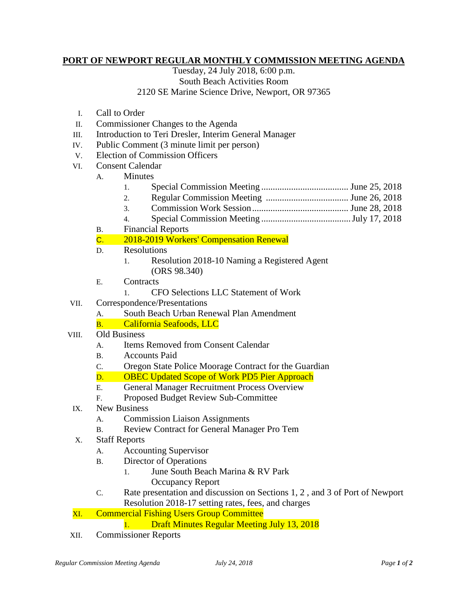## **PORT OF NEWPORT REGULAR MONTHLY COMMISSION MEETING AGENDA**

Tuesday, 24 July 2018, 6:00 p.m. South Beach Activities Room 2120 SE Marine Science Drive, Newport, OR 97365

- I. Call to Order
- II. Commissioner Changes to the Agenda
- III. Introduction to Teri Dresler, Interim General Manager
- IV. Public Comment (3 minute limit per person)
- V. Election of Commission Officers
- VI. Consent Calendar
	- A. Minutes
		- 1. Special Commission Meeting ...................................... June 25, 2018
		- 2. Regular Commission Meeting .................................... June 26, 2018
		- 3. Commission Work Session.......................................... June 28, 2018
		- 4. Special Commission Meeting .......................................July 17, 2018
	- B. Financial Reports
	- C. 2018-2019 Workers' Compensation Renewal
	- D. Resolutions
		- 1. Resolution 2018-10 Naming a Registered Agent (ORS 98.340)
	- E. Contracts
		- 1. CFO Selections LLC Statement of Work
- VII. Correspondence/Presentations
	- A. South Beach Urban Renewal Plan Amendment
	- B. California Seafoods, LLC
- VIII. Old Business
	- A. Items Removed from Consent Calendar
	- B. Accounts Paid
	- C. Oregon State Police Moorage Contract for the Guardian
	- D. OBEC Updated Scope of Work PD5 Pier Approach
	- E. General Manager Recruitment Process Overview
	- F. Proposed Budget Review Sub-Committee
- IX. New Business
	- A. Commission Liaison Assignments
	- B. Review Contract for General Manager Pro Tem
- X. Staff Reports
	- A. Accounting Supervisor
	- B. Director of Operations
		- 1. June South Beach Marina & RV Park Occupancy Report
	- C. Rate presentation and discussion on Sections 1, 2 , and 3 of Port of Newport Resolution 2018-17 setting rates, fees, and charges

## XI. Commercial Fishing Users Group Committee

- 1. Draft Minutes Regular Meeting July 13, 2018
- XII. Commissioner Reports